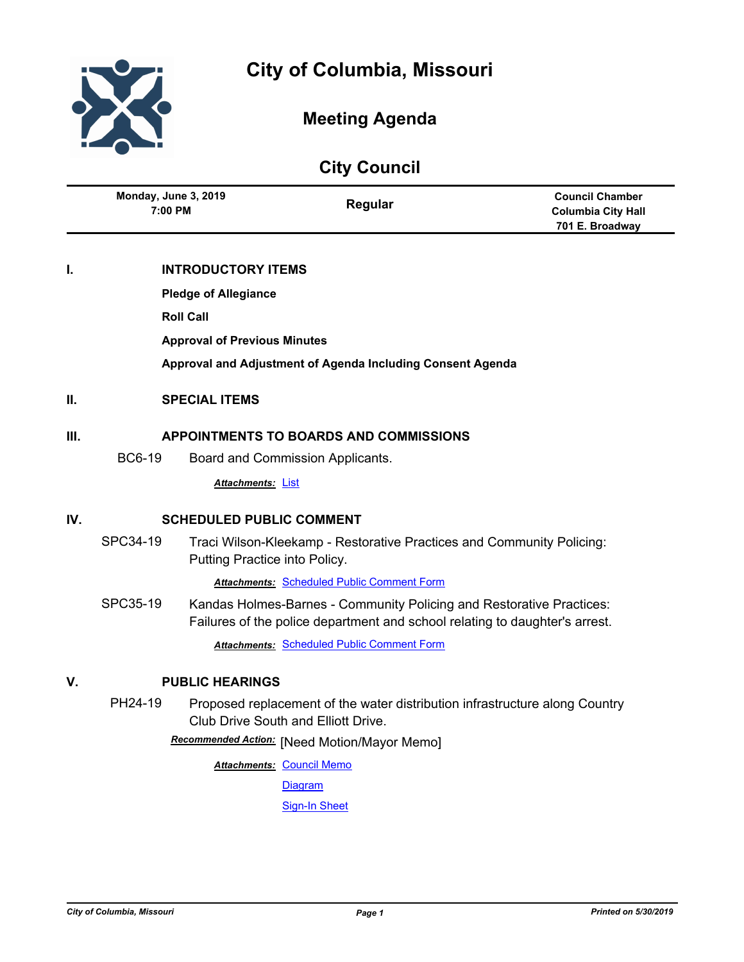



## **Meeting Agenda**

|  | <b>City Council</b> |
|--|---------------------|
|--|---------------------|

| Monday, June 3, 2019<br>7:00 PM | Regular | <b>Council Chamber</b><br><b>Columbia City Hall</b><br>701 E. Broadway |
|---------------------------------|---------|------------------------------------------------------------------------|
|---------------------------------|---------|------------------------------------------------------------------------|

#### **I. INTRODUCTORY ITEMS**

**Pledge of Allegiance**

**Roll Call**

**Approval of Previous Minutes**

**Approval and Adjustment of Agenda Including Consent Agenda**

#### **II. SPECIAL ITEMS**

#### **III. APPOINTMENTS TO BOARDS AND COMMISSIONS**

BC6-19 Board and Commission Applicants.

*Attachments:* [List](http://gocolumbiamo.legistar.com/gateway.aspx?M=F&ID=30266892-1f3b-4eec-af78-ff2a18125209.pdf)

#### **IV. SCHEDULED PUBLIC COMMENT**

SPC34-19 Traci Wilson-Kleekamp - Restorative Practices and Community Policing: Putting Practice into Policy.

*Attachments:* [Scheduled Public Comment Form](http://gocolumbiamo.legistar.com/gateway.aspx?M=F&ID=8536ee16-1a63-4af2-90b5-0925c3090d30.pdf)

SPC35-19 Kandas Holmes-Barnes - Community Policing and Restorative Practices: Failures of the police department and school relating to daughter's arrest.

*Attachments:* [Scheduled Public Comment Form](http://gocolumbiamo.legistar.com/gateway.aspx?M=F&ID=39ca0844-8019-4032-bb88-3ba7e696b9be.pdf)

#### **V. PUBLIC HEARINGS**

PH24-19 Proposed replacement of the water distribution infrastructure along Country Club Drive South and Elliott Drive.

**Recommended Action:** [Need Motion/Mayor Memo]

**Attachments: [Council Memo](http://gocolumbiamo.legistar.com/gateway.aspx?M=F&ID=7e8f9471-72cd-48d0-9387-e5300a95f46d.docx)** 

[Diagram](http://gocolumbiamo.legistar.com/gateway.aspx?M=F&ID=00ac71ad-38ef-448c-a340-f9312c46aa3e.pdf)

[Sign-In Sheet](http://gocolumbiamo.legistar.com/gateway.aspx?M=F&ID=69acdabe-a0dc-448e-9fdb-9f667366274c.pdf)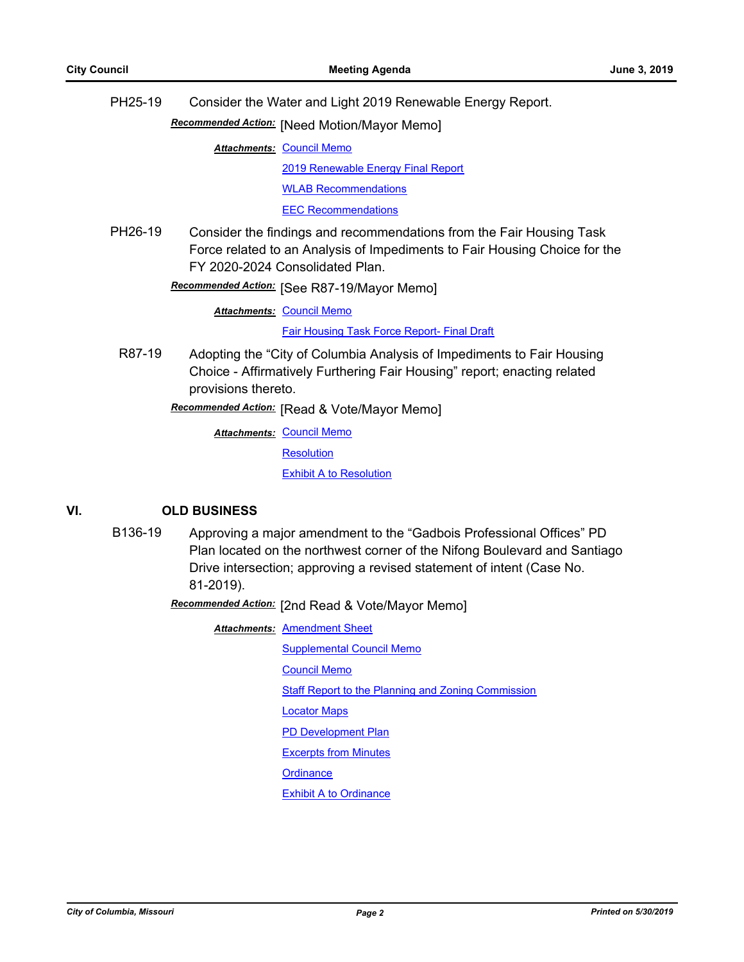|                                                                                                                                                                                                  | PH25-19 | Consider the Water and Light 2019 Renewable Energy Report.             |
|--------------------------------------------------------------------------------------------------------------------------------------------------------------------------------------------------|---------|------------------------------------------------------------------------|
|                                                                                                                                                                                                  |         | Recommended Action: [Need Motion/Mayor Memo]                           |
|                                                                                                                                                                                                  |         | <b>Attachments: Council Memo</b>                                       |
|                                                                                                                                                                                                  |         | 2019 Renewable Energy Final Report                                     |
|                                                                                                                                                                                                  |         | <b>WLAB Recommendations</b>                                            |
|                                                                                                                                                                                                  |         | <b>EEC Recommendations</b>                                             |
| PH26-19<br>Consider the findings and recommendations from the Fair Housing Task<br>Force related to an Analysis of Impediments to Fair Housing Choice for the<br>FY 2020-2024 Consolidated Plan. |         |                                                                        |
| Recommended Action: [See R87-19/Mayor Memo]                                                                                                                                                      |         |                                                                        |
|                                                                                                                                                                                                  |         | <b>Attachments: Council Memo</b>                                       |
|                                                                                                                                                                                                  |         | <b>Fair Housing Task Force Report- Final Draft</b>                     |
|                                                                                                                                                                                                  | R87-19  | Adopting the "City of Columbia Analysis of Impediments to Fair Housing |

Choice - Affirmatively Furthering Fair Housing" report; enacting related provisions thereto.

[Read & Vote/Mayor Memo] *Recommended Action:*

**Attachments: [Council Memo](http://gocolumbiamo.legistar.com/gateway.aspx?M=F&ID=38818c2e-8d83-48ca-9bcf-57e5bff34fd1.docx) [Resolution](http://gocolumbiamo.legistar.com/gateway.aspx?M=F&ID=6ffc28ef-5bf3-47b1-a5b5-72b978d53ece.doc) [Exhibit A to Resolution](http://gocolumbiamo.legistar.com/gateway.aspx?M=F&ID=6bedf99d-6e16-4247-aafb-a2a3d852df85.pdf)** 

#### **VI. OLD BUSINESS**

B136-19 Approving a major amendment to the "Gadbois Professional Offices" PD Plan located on the northwest corner of the Nifong Boulevard and Santiago Drive intersection; approving a revised statement of intent (Case No. 81-2019).

[2nd Read & Vote/Mayor Memo] *Recommended Action:*

**Attachments: [Amendment Sheet](http://gocolumbiamo.legistar.com/gateway.aspx?M=F&ID=6b6ca9f2-7655-4b47-9633-fa5d6ea94c7c.pdf)** 

[Supplemental Council Memo](http://gocolumbiamo.legistar.com/gateway.aspx?M=F&ID=1b8603b8-e1c7-406e-8775-032c60ba923b.docx) [Council Memo](http://gocolumbiamo.legistar.com/gateway.aspx?M=F&ID=f55e77c1-db07-48c9-af47-843eb1122e5b.docx) [Staff Report to the Planning and Zoning Commission](http://gocolumbiamo.legistar.com/gateway.aspx?M=F&ID=aeb5e22e-28b0-4693-807a-e4cf044a8c48.docx) [Locator Maps](http://gocolumbiamo.legistar.com/gateway.aspx?M=F&ID=7b89328f-eda3-4f02-9eec-9f767ee4299c.pdf) **[PD Development Plan](http://gocolumbiamo.legistar.com/gateway.aspx?M=F&ID=1a1de86a-ccfc-40c7-ab78-bf15f14d001f.pdf)** [Excerpts from Minutes](http://gocolumbiamo.legistar.com/gateway.aspx?M=F&ID=55aee33c-2c0b-4a11-a017-d321efed221b.docx) **[Ordinance](http://gocolumbiamo.legistar.com/gateway.aspx?M=F&ID=b83de9d7-6299-4e7e-91a5-d888f8e96e5a.doc) [Exhibit A to Ordinance](http://gocolumbiamo.legistar.com/gateway.aspx?M=F&ID=9f5aac7a-9d20-464f-9555-cae011b65ae9.pdf)**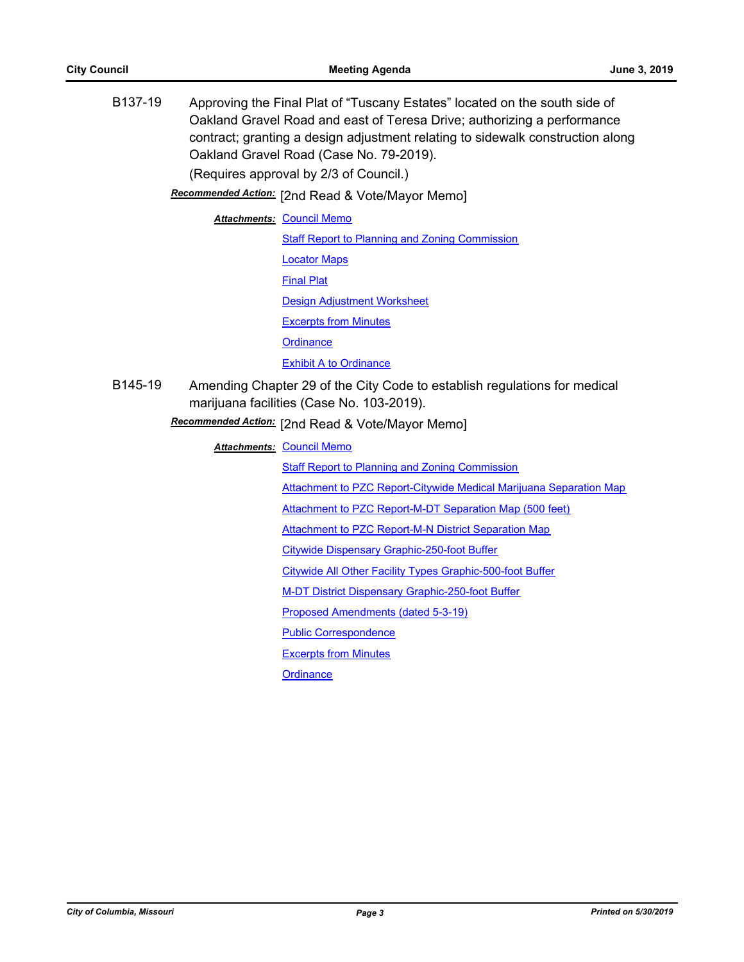B137-19 Approving the Final Plat of "Tuscany Estates" located on the south side of Oakland Gravel Road and east of Teresa Drive; authorizing a performance contract; granting a design adjustment relating to sidewalk construction along Oakland Gravel Road (Case No. 79-2019). (Requires approval by 2/3 of Council.) Recommended Action: [2nd Read & Vote/Mayor Memo] **Attachments: [Council Memo](http://gocolumbiamo.legistar.com/gateway.aspx?M=F&ID=31413ff9-b62c-411b-b30c-778fa25045fb.docx)** [Staff Report to Planning and Zoning Commission](http://gocolumbiamo.legistar.com/gateway.aspx?M=F&ID=d6c7c111-ac47-45b4-bc03-01a66d4fd069.docx) [Locator Maps](http://gocolumbiamo.legistar.com/gateway.aspx?M=F&ID=a4354a3b-6ba1-4548-bf0f-fd869440caad.pdf) [Final Plat](http://gocolumbiamo.legistar.com/gateway.aspx?M=F&ID=2c6858cb-3bb9-48fe-95ec-6a34ca3a44ad.pdf) [Design Adjustment Worksheet](http://gocolumbiamo.legistar.com/gateway.aspx?M=F&ID=18f86052-232d-4cab-8ce5-c91ed1f921e4.pdf) [Excerpts from Minutes](http://gocolumbiamo.legistar.com/gateway.aspx?M=F&ID=59144e0b-8f46-4c60-acd3-1f411bb73604.docx) **[Ordinance](http://gocolumbiamo.legistar.com/gateway.aspx?M=F&ID=efcde723-acdf-40f8-a5e9-da0d6162fea8.doc)** [Exhibit A to Ordinance](http://gocolumbiamo.legistar.com/gateway.aspx?M=F&ID=eaf1b6e1-8910-4d99-adac-bd9c668fdbd4.pdf) B145-19 Amending Chapter 29 of the City Code to establish regulations for medical marijuana facilities (Case No. 103-2019).

[2nd Read & Vote/Mayor Memo] *Recommended Action:*

**Attachments: [Council Memo](http://gocolumbiamo.legistar.com/gateway.aspx?M=F&ID=96bb8a95-c271-40fe-b26c-3c22bcd6b0f1.docx)** 

[Staff Report to Planning and Zoning Commission](http://gocolumbiamo.legistar.com/gateway.aspx?M=F&ID=463fda50-d58b-4ede-85de-65cd9207c0db.docx)

[Attachment to PZC Report-Citywide Medical Marijuana Separation Map](http://gocolumbiamo.legistar.com/gateway.aspx?M=F&ID=d75f1a6d-1eae-410b-abc7-d5c353e4c115.pdf)

[Attachment to PZC Report-M-DT Separation Map \(500 feet\)](http://gocolumbiamo.legistar.com/gateway.aspx?M=F&ID=a643d9ef-896a-4caa-9763-59a552bbfffa.pdf)

[Attachment to PZC Report-M-N District Separation Map](http://gocolumbiamo.legistar.com/gateway.aspx?M=F&ID=05f81c7b-8006-461f-b206-1da50c48fde5.pdf)

[Citywide Dispensary Graphic-250-foot Buffer](http://gocolumbiamo.legistar.com/gateway.aspx?M=F&ID=aee37d87-3b57-48f1-ba9f-53882a6f6e2f.pdf)

[Citywide All Other Facility Types Graphic-500-foot Buffer](http://gocolumbiamo.legistar.com/gateway.aspx?M=F&ID=14983aa1-924d-4d9d-b25d-5b258a0b9e91.pdf)

[M-DT District Dispensary Graphic-250-foot Buffer](http://gocolumbiamo.legistar.com/gateway.aspx?M=F&ID=1e01b7de-dd72-4470-8e86-e4cea86607aa.pdf)

[Proposed Amendments \(dated 5-3-19\)](http://gocolumbiamo.legistar.com/gateway.aspx?M=F&ID=8ec8fe4d-285b-49c9-b713-d33da565bbd7.pdf)

[Public Correspondence](http://gocolumbiamo.legistar.com/gateway.aspx?M=F&ID=1a414426-fb57-4112-8c6b-9704a2fdcb64.pdf)

[Excerpts from Minutes](http://gocolumbiamo.legistar.com/gateway.aspx?M=F&ID=4da7e4a8-8cfa-4626-89ad-55e2d29807a9.docx)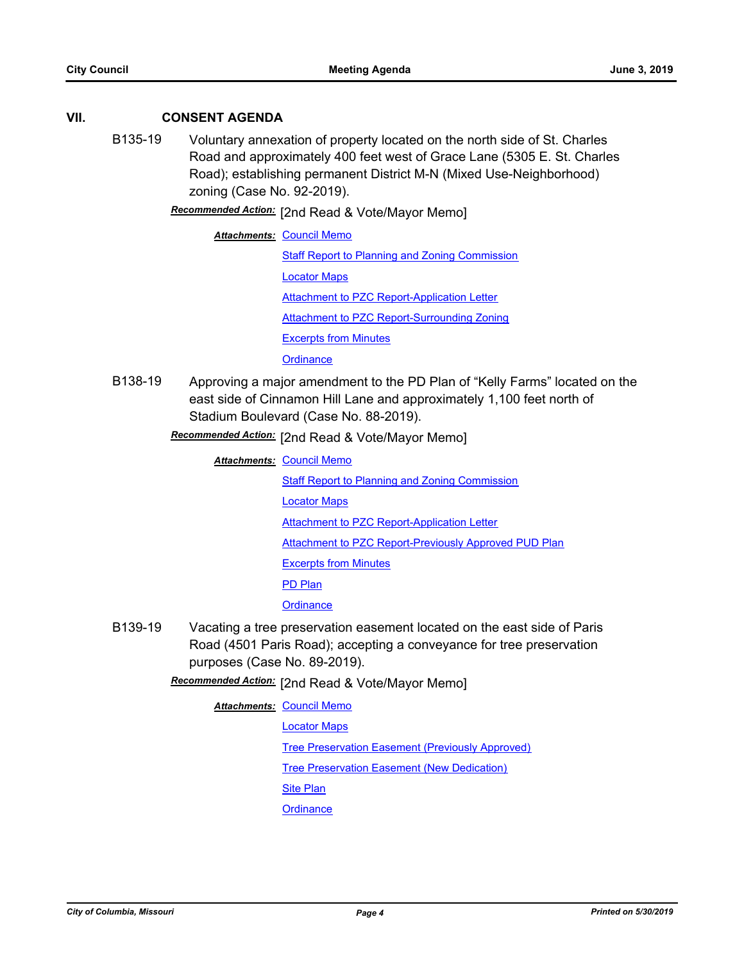#### **VII. CONSENT AGENDA**

B135-19 Voluntary annexation of property located on the north side of St. Charles Road and approximately 400 feet west of Grace Lane (5305 E. St. Charles Road); establishing permanent District M-N (Mixed Use-Neighborhood) zoning (Case No. 92-2019).

**Recommended Action:** [2nd Read & Vote/Mayor Memo]

**Attachments: [Council Memo](http://gocolumbiamo.legistar.com/gateway.aspx?M=F&ID=9d981e9e-3dfe-416e-b6ab-35ce74cc36e2.docx)** [Staff Report to Planning and Zoning Commission](http://gocolumbiamo.legistar.com/gateway.aspx?M=F&ID=bdcc1d8d-080f-4a92-b82f-da5464fffc69.pdf) [Locator Maps](http://gocolumbiamo.legistar.com/gateway.aspx?M=F&ID=990d977d-98f1-4dab-b4d4-8539ce50f78a.pdf) [Attachment to PZC Report-Application Letter](http://gocolumbiamo.legistar.com/gateway.aspx?M=F&ID=4095a6e3-262e-4fc2-bb75-3bf8b16740d6.pdf) [Attachment to PZC Report-Surrounding Zoning](http://gocolumbiamo.legistar.com/gateway.aspx?M=F&ID=785d9052-7deb-4d9c-a9f9-5088ee920f98.pdf) [Excerpts from Minutes](http://gocolumbiamo.legistar.com/gateway.aspx?M=F&ID=22b6ee0d-3021-4858-a00d-c1a2997b924c.docx) **[Ordinance](http://gocolumbiamo.legistar.com/gateway.aspx?M=F&ID=ed215e84-9482-45bb-b2bb-ad5133fd1cd7.doc)** 

B138-19 Approving a major amendment to the PD Plan of "Kelly Farms" located on the east side of Cinnamon Hill Lane and approximately 1,100 feet north of Stadium Boulevard (Case No. 88-2019).

**Recommended Action:** [2nd Read & Vote/Mayor Memo]

- **Attachments: [Council Memo](http://gocolumbiamo.legistar.com/gateway.aspx?M=F&ID=7388f676-e50e-4837-86de-b39c17d9e8c3.docx)** [Staff Report to Planning and Zoning Commission](http://gocolumbiamo.legistar.com/gateway.aspx?M=F&ID=95d4d1d2-4178-4b5c-b5bd-ad73a4e5f0f3.pdf) [Locator Maps](http://gocolumbiamo.legistar.com/gateway.aspx?M=F&ID=b12c251a-aaeb-41fe-9e94-235e0d8bd6d3.pdf) **[Attachment to PZC Report-Application Letter](http://gocolumbiamo.legistar.com/gateway.aspx?M=F&ID=0acf3d90-24e5-4e39-adb3-6b5323db3ea7.pdf)** [Attachment to PZC Report-Previously Approved PUD Plan](http://gocolumbiamo.legistar.com/gateway.aspx?M=F&ID=7d1e4625-542c-491e-af5e-5c0d6e555f78.pdf) [Excerpts from Minutes](http://gocolumbiamo.legistar.com/gateway.aspx?M=F&ID=cd65252d-178b-47ad-8a7d-cea4666d88ea.docx) [PD Plan](http://gocolumbiamo.legistar.com/gateway.aspx?M=F&ID=62fb9082-d511-4bb6-a07e-569a3b775ff6.pdf) **[Ordinance](http://gocolumbiamo.legistar.com/gateway.aspx?M=F&ID=ac4f3a83-622e-4a54-a95c-92183908d9ad.doc)**
- B139-19 Vacating a tree preservation easement located on the east side of Paris Road (4501 Paris Road); accepting a conveyance for tree preservation purposes (Case No. 89-2019).

[2nd Read & Vote/Mayor Memo] *Recommended Action:*

**Attachments: [Council Memo](http://gocolumbiamo.legistar.com/gateway.aspx?M=F&ID=5a56c09d-023e-43fa-ab5a-b6a0ff854a96.docx)** 

[Locator Maps](http://gocolumbiamo.legistar.com/gateway.aspx?M=F&ID=0d162f00-e816-440b-916e-cab3660cf7ef.pdf)

[Tree Preservation Easement \(Previously Approved\)](http://gocolumbiamo.legistar.com/gateway.aspx?M=F&ID=7e1e4119-60b0-4f37-a41d-df56d460719a.pdf)

[Tree Preservation Easement \(New Dedication\)](http://gocolumbiamo.legistar.com/gateway.aspx?M=F&ID=c13c640f-50c5-4794-8d51-0ef54236cb6c.pdf)

[Site Plan](http://gocolumbiamo.legistar.com/gateway.aspx?M=F&ID=3aab8dc9-8945-41f2-ab69-8239b3f78e28.pdf)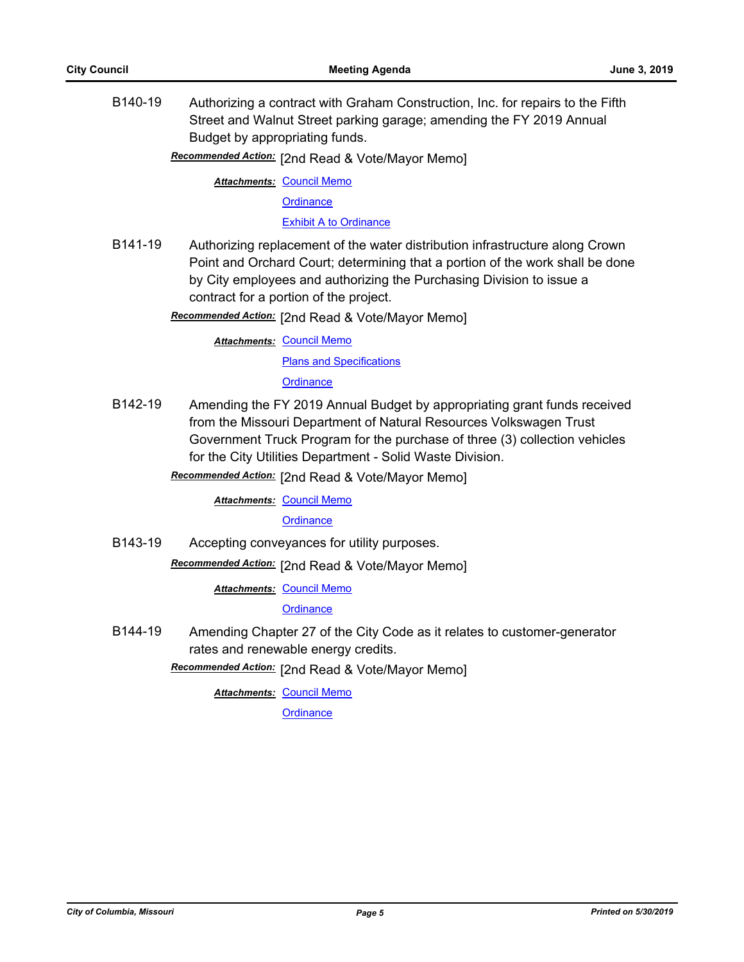B140-19 Authorizing a contract with Graham Construction, Inc. for repairs to the Fifth Street and Walnut Street parking garage; amending the FY 2019 Annual Budget by appropriating funds.

**Recommended Action:** [2nd Read & Vote/Mayor Memo]

**Attachments: [Council Memo](http://gocolumbiamo.legistar.com/gateway.aspx?M=F&ID=a341115e-25af-4254-addb-ba5d084d98ef.docx)** 

**[Ordinance](http://gocolumbiamo.legistar.com/gateway.aspx?M=F&ID=bb7b8429-1668-4322-ae4e-f429d480596a.doc)** 

[Exhibit A to Ordinance](http://gocolumbiamo.legistar.com/gateway.aspx?M=F&ID=12653cb1-a6cf-4783-88d6-a939ecc4ed80.pdf)

B141-19 Authorizing replacement of the water distribution infrastructure along Crown Point and Orchard Court; determining that a portion of the work shall be done by City employees and authorizing the Purchasing Division to issue a contract for a portion of the project.

**Recommended Action:** [2nd Read & Vote/Mayor Memo]

**Attachments: [Council Memo](http://gocolumbiamo.legistar.com/gateway.aspx?M=F&ID=b0434572-896b-4736-b8d6-79b2a2a5a459.docx) [Plans and Specifications](http://gocolumbiamo.legistar.com/gateway.aspx?M=F&ID=e33857ae-56d1-4604-9c28-412aa100049d.pdf) [Ordinance](http://gocolumbiamo.legistar.com/gateway.aspx?M=F&ID=dae99ad2-efc8-4838-9a50-67a7efc56024.doc)** 

B142-19 Amending the FY 2019 Annual Budget by appropriating grant funds received from the Missouri Department of Natural Resources Volkswagen Trust Government Truck Program for the purchase of three (3) collection vehicles for the City Utilities Department - Solid Waste Division.

[2nd Read & Vote/Mayor Memo] *Recommended Action:*

**Attachments: [Council Memo](http://gocolumbiamo.legistar.com/gateway.aspx?M=F&ID=0d4217ee-84d0-44b3-97c1-14e9e4a78668.docx)** 

**[Ordinance](http://gocolumbiamo.legistar.com/gateway.aspx?M=F&ID=ff875581-fb74-4742-8f13-bc6a278413c7.doc)** 

B143-19 Accepting conveyances for utility purposes.

Recommended Action: [2nd Read & Vote/Mayor Memo]

**Attachments: [Council Memo](http://gocolumbiamo.legistar.com/gateway.aspx?M=F&ID=e5a73bc0-4dda-465f-a46e-c16b353bebaa.docx)** 

**[Ordinance](http://gocolumbiamo.legistar.com/gateway.aspx?M=F&ID=e251b205-62f7-49b0-b935-d949056f6ad7.doc)** 

B144-19 Amending Chapter 27 of the City Code as it relates to customer-generator rates and renewable energy credits.

Recommended Action: [2nd Read & Vote/Mayor Memo]

**Attachments: [Council Memo](http://gocolumbiamo.legistar.com/gateway.aspx?M=F&ID=44902e40-cf69-4b7e-b7e3-8a6e23f775ac.docx)**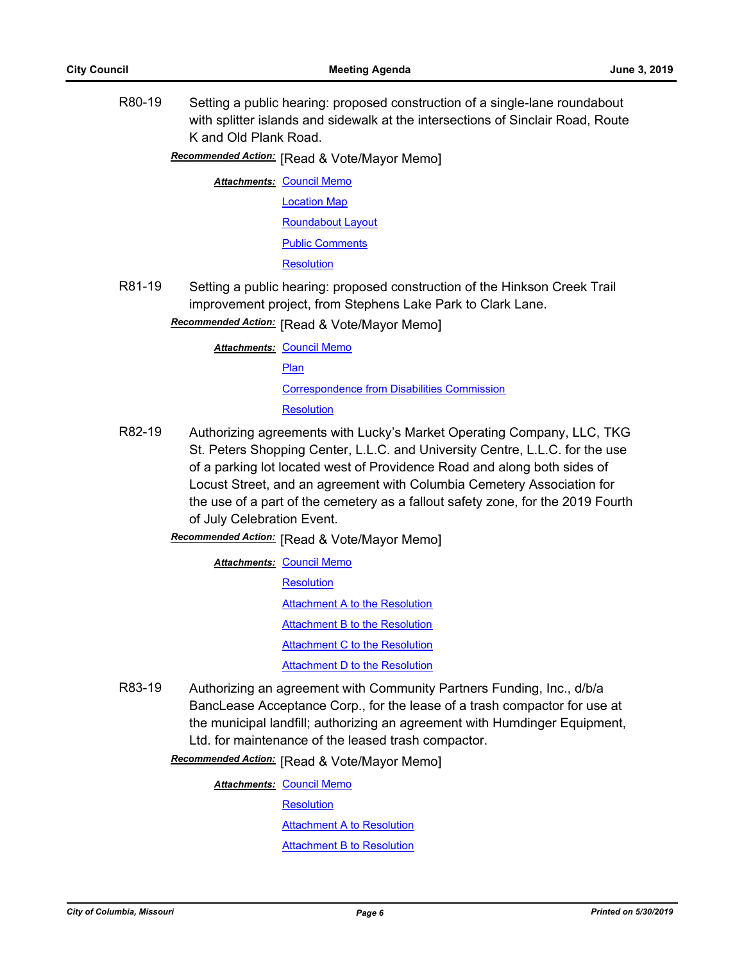R80-19 Setting a public hearing: proposed construction of a single-lane roundabout with splitter islands and sidewalk at the intersections of Sinclair Road, Route K and Old Plank Road.

**Recommended Action:** [Read & Vote/Mayor Memo]

**Attachments: [Council Memo](http://gocolumbiamo.legistar.com/gateway.aspx?M=F&ID=b04af3a2-a217-4cdc-a026-67df3957e624.docx)** [Location Map](http://gocolumbiamo.legistar.com/gateway.aspx?M=F&ID=a595adad-6438-4b40-a9d2-36e7da7bfe2c.pdf) [Roundabout Layout](http://gocolumbiamo.legistar.com/gateway.aspx?M=F&ID=e6309671-d791-48c2-952d-d3b755b92865.pdf) [Public Comments](http://gocolumbiamo.legistar.com/gateway.aspx?M=F&ID=adefbfc8-0e05-4fe1-b581-b0c04eb9e10c.pdf)

**[Resolution](http://gocolumbiamo.legistar.com/gateway.aspx?M=F&ID=1cf7f92c-b8ff-4efa-90c8-7af3c8c2e091.doc)** 

R81-19 Setting a public hearing: proposed construction of the Hinkson Creek Trail improvement project, from Stephens Lake Park to Clark Lane.

**Recommended Action:** [Read & Vote/Mayor Memo]

**Attachments: [Council Memo](http://gocolumbiamo.legistar.com/gateway.aspx?M=F&ID=7f77dff5-8bb6-4484-b146-f0c5c983d968.docx)** 

**[Plan](http://gocolumbiamo.legistar.com/gateway.aspx?M=F&ID=46722dac-acc8-448a-ad36-51aa35ec2cfa.pdf)** 

[Correspondence from Disabilities Commission](http://gocolumbiamo.legistar.com/gateway.aspx?M=F&ID=67aa4171-3e9c-4d59-a275-6ce4be5a55dd.pdf)

**[Resolution](http://gocolumbiamo.legistar.com/gateway.aspx?M=F&ID=689e911a-38db-499e-989d-e1fdffc2de5d.doc)** 

- R82-19 Authorizing agreements with Lucky's Market Operating Company, LLC, TKG St. Peters Shopping Center, L.L.C. and University Centre, L.L.C. for the use of a parking lot located west of Providence Road and along both sides of Locust Street, and an agreement with Columbia Cemetery Association for the use of a part of the cemetery as a fallout safety zone, for the 2019 Fourth of July Celebration Event.
	- **Recommended Action:** [Read & Vote/Mayor Memo]

**Attachments: [Council Memo](http://gocolumbiamo.legistar.com/gateway.aspx?M=F&ID=92ccd7e6-0a27-4b56-96de-d4dc5731d698.docx)** 

- **[Resolution](http://gocolumbiamo.legistar.com/gateway.aspx?M=F&ID=68502313-fc43-4d3f-ac1f-970227a4b3aa.doc)** [Attachment A to the Resolution](http://gocolumbiamo.legistar.com/gateway.aspx?M=F&ID=493083ad-f312-4cf0-895b-62e622d6f8a2.pdf) [Attachment B to the Resolution](http://gocolumbiamo.legistar.com/gateway.aspx?M=F&ID=c99ddea8-4a34-4251-bd1d-e5db8437ac0f.pdf) [Attachment C to the Resolution](http://gocolumbiamo.legistar.com/gateway.aspx?M=F&ID=b5c58a7e-df85-4b20-b960-cb30e41b50b5.pdf) [Attachment D to the Resolution](http://gocolumbiamo.legistar.com/gateway.aspx?M=F&ID=61575209-f28c-4e47-bbc5-e6880e16a28e.pdf)
- R83-19 Authorizing an agreement with Community Partners Funding, Inc., d/b/a BancLease Acceptance Corp., for the lease of a trash compactor for use at the municipal landfill; authorizing an agreement with Humdinger Equipment, Ltd. for maintenance of the leased trash compactor.

**Recommended Action:** [Read & Vote/Mayor Memo]

**Attachments: [Council Memo](http://gocolumbiamo.legistar.com/gateway.aspx?M=F&ID=4576f40b-08a5-4cb2-9849-3639b3132498.docx) [Resolution](http://gocolumbiamo.legistar.com/gateway.aspx?M=F&ID=45ac1b33-4ee6-4349-af8f-ec28b14487b5.doc)** [Attachment A to Resolution](http://gocolumbiamo.legistar.com/gateway.aspx?M=F&ID=798ce71f-2fbc-4d88-be8f-0036a90bfc73.pdf) [Attachment B to Resolution](http://gocolumbiamo.legistar.com/gateway.aspx?M=F&ID=147783fc-6013-4438-8ae2-29eb88e15455.pdf)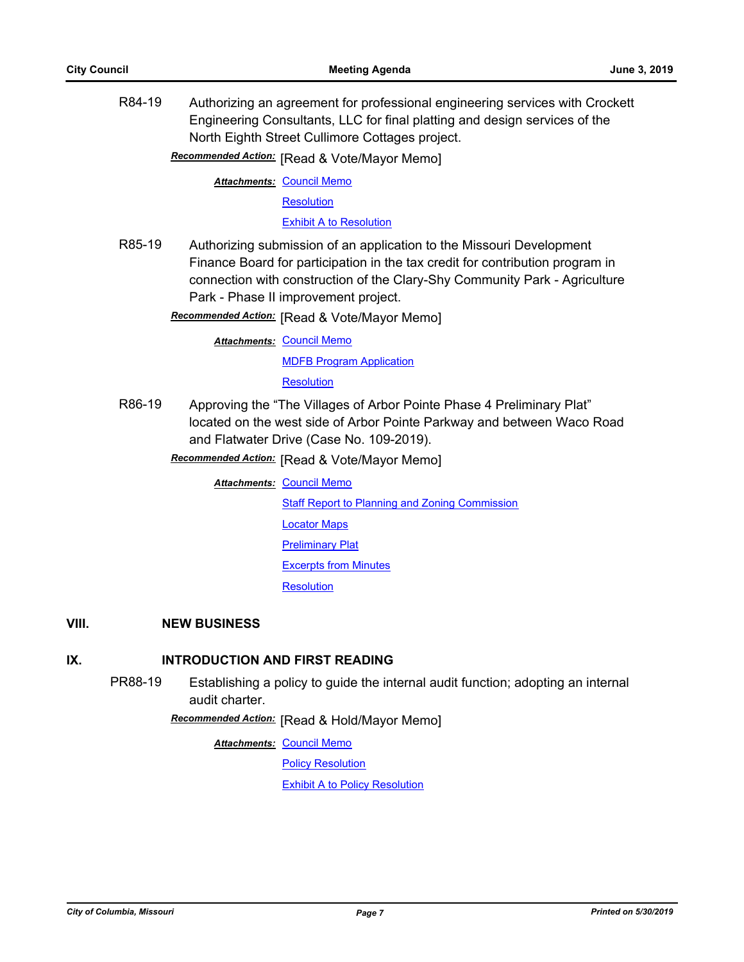R84-19 Authorizing an agreement for professional engineering services with Crockett Engineering Consultants, LLC for final platting and design services of the North Eighth Street Cullimore Cottages project.

**Recommended Action:** [Read & Vote/Mayor Memo]

**Attachments: [Council Memo](http://gocolumbiamo.legistar.com/gateway.aspx?M=F&ID=73c377f5-819f-4041-a19a-891fdc7c878b.docx)** 

**[Resolution](http://gocolumbiamo.legistar.com/gateway.aspx?M=F&ID=f1f6578b-4997-46e5-acc7-401667970cfe.doc)** 

[Exhibit A to Resolution](http://gocolumbiamo.legistar.com/gateway.aspx?M=F&ID=cdc3e2f6-eeaf-4fa2-835a-c0558b80db12.pdf)

R85-19 Authorizing submission of an application to the Missouri Development Finance Board for participation in the tax credit for contribution program in connection with construction of the Clary-Shy Community Park - Agriculture Park - Phase II improvement project.

**Recommended Action:** [Read & Vote/Mayor Memo]

**Attachments: [Council Memo](http://gocolumbiamo.legistar.com/gateway.aspx?M=F&ID=d8b5eb9d-581c-46bc-8338-5fb18bce3efa.docx)** [MDFB Program Application](http://gocolumbiamo.legistar.com/gateway.aspx?M=F&ID=5ca1165c-b4ed-4bde-955b-8296189bda0c.pdf) **[Resolution](http://gocolumbiamo.legistar.com/gateway.aspx?M=F&ID=a86206c1-2faf-425f-80f7-68b2355798df.doc)** 

R86-19 Approving the "The Villages of Arbor Pointe Phase 4 Preliminary Plat" located on the west side of Arbor Pointe Parkway and between Waco Road and Flatwater Drive (Case No. 109-2019).

**Recommended Action:** [Read & Vote/Mayor Memo]

**Attachments: [Council Memo](http://gocolumbiamo.legistar.com/gateway.aspx?M=F&ID=92b2c841-1421-4329-9d21-46eead83fbf0.docx)** 

[Staff Report to Planning and Zoning Commission](http://gocolumbiamo.legistar.com/gateway.aspx?M=F&ID=b1aa4447-8416-44ca-822f-04dc58bbfe68.docx)

- [Locator Maps](http://gocolumbiamo.legistar.com/gateway.aspx?M=F&ID=07cb8654-cba3-4aae-9335-3c3c1faa1a9a.pdf)
- [Preliminary Plat](http://gocolumbiamo.legistar.com/gateway.aspx?M=F&ID=34a55b58-d8ae-497e-8149-3316d2eb76ad.pdf)

[Excerpts from Minutes](http://gocolumbiamo.legistar.com/gateway.aspx?M=F&ID=68105bca-6586-4735-b993-e812fc51655d.docx)

**[Resolution](http://gocolumbiamo.legistar.com/gateway.aspx?M=F&ID=8b53d4dc-dc12-444d-a082-59977e0aed5d.doc)** 

#### **VIII. NEW BUSINESS**

#### **IX. INTRODUCTION AND FIRST READING**

PR88-19 Establishing a policy to guide the internal audit function; adopting an internal audit charter.

**Recommended Action:** [Read & Hold/Mayor Memo]

**Attachments: [Council Memo](http://gocolumbiamo.legistar.com/gateway.aspx?M=F&ID=6ad45b80-59e4-4471-8059-d632fd0cd237.docx)** 

[Policy Resolution](http://gocolumbiamo.legistar.com/gateway.aspx?M=F&ID=1d2be1d8-0c76-4f35-9358-bed5fe5b2a08.doc)

[Exhibit A to Policy Resolution](http://gocolumbiamo.legistar.com/gateway.aspx?M=F&ID=255199ee-ca88-4e24-9993-2bb611c94faa.pdf)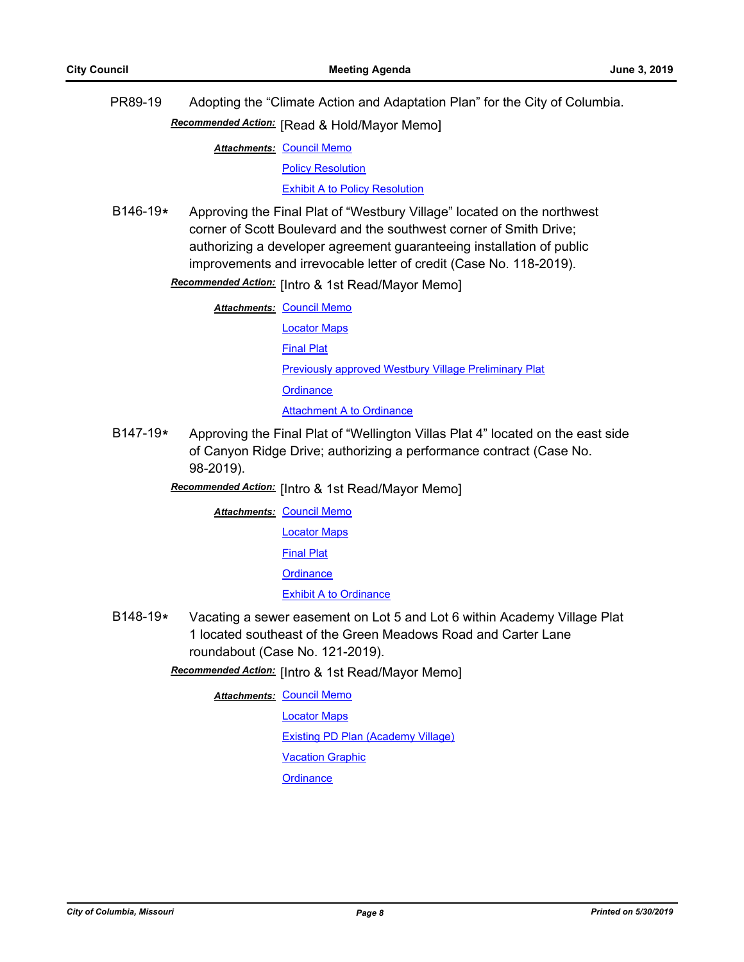PR89-19 Adopting the "Climate Action and Adaptation Plan" for the City of Columbia. **Recommended Action:** [Read & Hold/Mayor Memo]

**Attachments: [Council Memo](http://gocolumbiamo.legistar.com/gateway.aspx?M=F&ID=a2dfd700-3b94-48fd-a1bd-cee816ded7d2.docx)** 

[Policy Resolution](http://gocolumbiamo.legistar.com/gateway.aspx?M=F&ID=5e6526bd-dd54-4099-ab2a-09a93f272574.doc)

[Exhibit A to Policy Resolution](http://gocolumbiamo.legistar.com/gateway.aspx?M=F&ID=ca3e4981-784e-4b63-bb9e-0c0d58e59687.pdf)

B146-19**\*** Approving the Final Plat of "Westbury Village" located on the northwest corner of Scott Boulevard and the southwest corner of Smith Drive; authorizing a developer agreement guaranteeing installation of public improvements and irrevocable letter of credit (Case No. 118-2019).

Recommended Action: [Intro & 1st Read/Mayor Memo]

**Attachments: [Council Memo](http://gocolumbiamo.legistar.com/gateway.aspx?M=F&ID=20db40f4-ebff-4d2a-bee9-b67422b5cb12.docx)** 

[Locator Maps](http://gocolumbiamo.legistar.com/gateway.aspx?M=F&ID=1d2baf73-3c1b-4565-bbd4-38de3293c892.pdf) [Final Plat](http://gocolumbiamo.legistar.com/gateway.aspx?M=F&ID=45aae8ee-f7f0-410b-a4b1-41c9c07cf043.pdf) [Previously approved Westbury Village Preliminary Plat](http://gocolumbiamo.legistar.com/gateway.aspx?M=F&ID=5dae21b5-6f4c-45f1-a462-b6aaf65a8ef1.pdf) **[Ordinance](http://gocolumbiamo.legistar.com/gateway.aspx?M=F&ID=5eae9125-0265-4fc4-92d9-3ffc78005cb7.doc)** [Attachment A to Ordinance](http://gocolumbiamo.legistar.com/gateway.aspx?M=F&ID=6ab37dad-e0d4-4566-853d-e3319fa9da39.pdf)

B147-19**\*** Approving the Final Plat of "Wellington Villas Plat 4" located on the east side of Canyon Ridge Drive; authorizing a performance contract (Case No. 98-2019).

**Recommended Action:** [Intro & 1st Read/Mayor Memo]

**Attachments: [Council Memo](http://gocolumbiamo.legistar.com/gateway.aspx?M=F&ID=5cc90d63-ba61-40e0-8b09-564903e13523.docx)** 

[Locator Maps](http://gocolumbiamo.legistar.com/gateway.aspx?M=F&ID=7a6b271b-3892-4f0a-80c5-0babf4b23af9.pdf)

[Final Plat](http://gocolumbiamo.legistar.com/gateway.aspx?M=F&ID=3df01cbe-27c7-48a3-b6e4-bed1bf0f6b87.pdf)

**[Ordinance](http://gocolumbiamo.legistar.com/gateway.aspx?M=F&ID=3d5c78e6-0864-4678-aaaa-e5d56eafed69.doc)** 

#### **[Exhibit A to Ordinance](http://gocolumbiamo.legistar.com/gateway.aspx?M=F&ID=f29149e6-f9e2-4162-8a2d-b9727349733e.pdf)**

- B148-19**\*** Vacating a sewer easement on Lot 5 and Lot 6 within Academy Village Plat 1 located southeast of the Green Meadows Road and Carter Lane roundabout (Case No. 121-2019).
	- Recommended Action: [Intro & 1st Read/Mayor Memo]

**Attachments: [Council Memo](http://gocolumbiamo.legistar.com/gateway.aspx?M=F&ID=bd45f8db-1fac-408a-8e98-11f1579fda9a.docx)** 

[Locator Maps](http://gocolumbiamo.legistar.com/gateway.aspx?M=F&ID=3de32d05-e2ec-4759-81f3-792a3393c447.pdf)

[Existing PD Plan \(Academy Village\)](http://gocolumbiamo.legistar.com/gateway.aspx?M=F&ID=0f8e5823-101f-4909-b83b-6545eb036aac.pdf)

[Vacation Graphic](http://gocolumbiamo.legistar.com/gateway.aspx?M=F&ID=55e4dc43-a07d-4af7-b2f6-7a9d61c3ce75.pdf)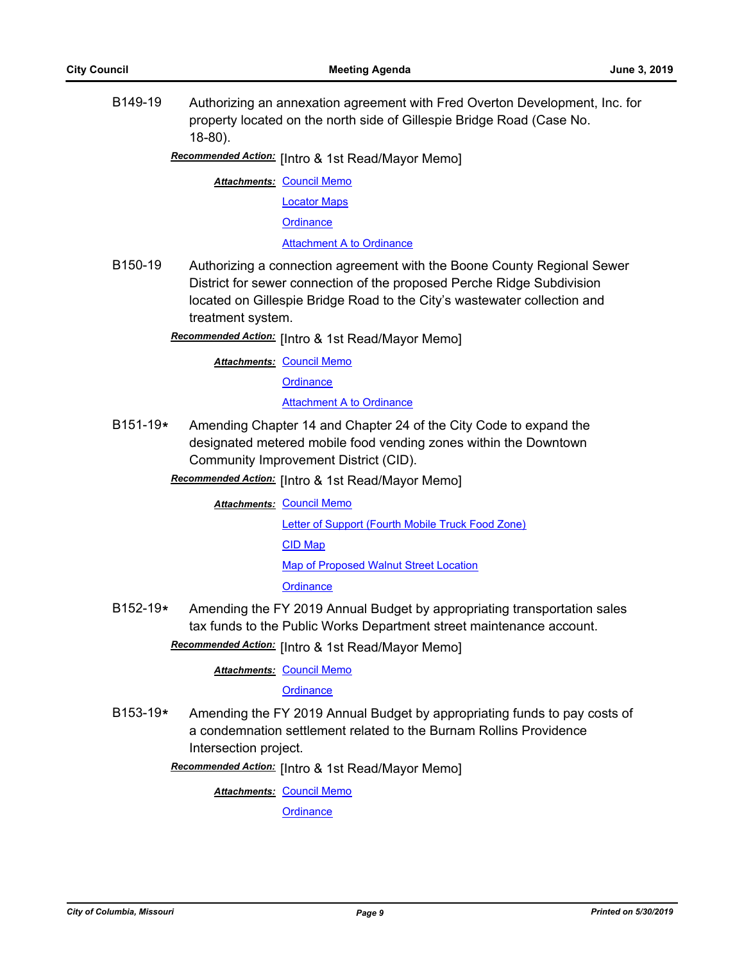B149-19 Authorizing an annexation agreement with Fred Overton Development, Inc. for property located on the north side of Gillespie Bridge Road (Case No. 18-80).

Recommended Action: [Intro & 1st Read/Mayor Memo]

**Attachments: [Council Memo](http://gocolumbiamo.legistar.com/gateway.aspx?M=F&ID=d9a5a903-7168-4d5b-b76b-90417c5bf128.docx)** 

[Locator Maps](http://gocolumbiamo.legistar.com/gateway.aspx?M=F&ID=e3b5f4e6-2074-4b3e-889a-b728aa1d1b20.pdf)

**[Ordinance](http://gocolumbiamo.legistar.com/gateway.aspx?M=F&ID=eee4257b-b623-4f77-af5f-0165ce183320.doc)** 

[Attachment A to Ordinance](http://gocolumbiamo.legistar.com/gateway.aspx?M=F&ID=bd3126cd-e903-474c-854e-2287387c59af.pdf)

B150-19 Authorizing a connection agreement with the Boone County Regional Sewer District for sewer connection of the proposed Perche Ridge Subdivision located on Gillespie Bridge Road to the City's wastewater collection and treatment system.

Recommended Action: [Intro & 1st Read/Mayor Memo]

**Attachments: [Council Memo](http://gocolumbiamo.legistar.com/gateway.aspx?M=F&ID=23e473bc-678d-49b2-bb3b-1c4a9d7c6ceb.docx)** 

**[Ordinance](http://gocolumbiamo.legistar.com/gateway.aspx?M=F&ID=1cedc001-19e5-4055-9934-db049bf9eef4.doc)** 

[Attachment A to Ordinance](http://gocolumbiamo.legistar.com/gateway.aspx?M=F&ID=dae000ae-239b-4798-9d72-4b1fbbfb6828.pdf)

- B151-19**\*** Amending Chapter 14 and Chapter 24 of the City Code to expand the designated metered mobile food vending zones within the Downtown Community Improvement District (CID).
	- Recommended Action: [Intro & 1st Read/Mayor Memo]

**Attachments: [Council Memo](http://gocolumbiamo.legistar.com/gateway.aspx?M=F&ID=2b8c186b-5559-4286-97ad-ad6a5839376c.docx)** 

[Letter of Support \(Fourth Mobile Truck Food Zone\)](http://gocolumbiamo.legistar.com/gateway.aspx?M=F&ID=fcb1f509-34f2-46cc-beb2-4fa21ab34a8d.pdf)

[CID Map](http://gocolumbiamo.legistar.com/gateway.aspx?M=F&ID=f637ebc1-87f5-4fab-aafc-3ddc4e6d0e35.pdf)

[Map of Proposed Walnut Street Location](http://gocolumbiamo.legistar.com/gateway.aspx?M=F&ID=f3a76216-17e6-4c2d-8643-67fe8fa2ab7f.pdf)

**[Ordinance](http://gocolumbiamo.legistar.com/gateway.aspx?M=F&ID=b01554f3-4804-44fd-aa06-c7cbb788d8ce.doc)** 

B152-19**\*** Amending the FY 2019 Annual Budget by appropriating transportation sales tax funds to the Public Works Department street maintenance account. Recommended Action: [Intro & 1st Read/Mayor Memo]

**Attachments: [Council Memo](http://gocolumbiamo.legistar.com/gateway.aspx?M=F&ID=0aef4a30-e704-484a-8c52-b8c4cefc1d15.docx)** 

**[Ordinance](http://gocolumbiamo.legistar.com/gateway.aspx?M=F&ID=7e7ac747-f4c8-466e-9164-e41b6931053e.doc)** 

B153-19**\*** Amending the FY 2019 Annual Budget by appropriating funds to pay costs of a condemnation settlement related to the Burnam Rollins Providence Intersection project.

Recommended Action: [Intro & 1st Read/Mayor Memo]

**Attachments: [Council Memo](http://gocolumbiamo.legistar.com/gateway.aspx?M=F&ID=bf46547b-537a-4748-b0db-ddcdc3494a4d.docx)**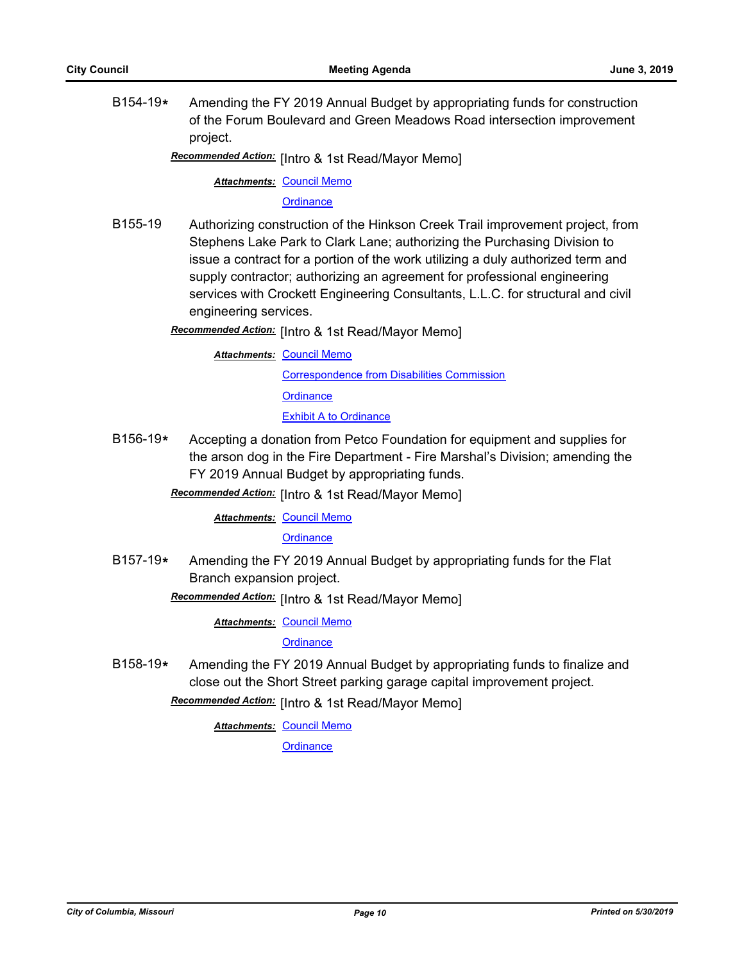B154-19**\*** Amending the FY 2019 Annual Budget by appropriating funds for construction of the Forum Boulevard and Green Meadows Road intersection improvement project.

Recommended Action: [Intro & 1st Read/Mayor Memo]

**Attachments: [Council Memo](http://gocolumbiamo.legistar.com/gateway.aspx?M=F&ID=04318aeb-fbde-4840-8a16-8986a7ae3184.docx)** 

**[Ordinance](http://gocolumbiamo.legistar.com/gateway.aspx?M=F&ID=da0e27de-e499-4df2-824c-548d76ae2c36.doc)** 

B155-19 Authorizing construction of the Hinkson Creek Trail improvement project, from Stephens Lake Park to Clark Lane; authorizing the Purchasing Division to issue a contract for a portion of the work utilizing a duly authorized term and supply contractor; authorizing an agreement for professional engineering services with Crockett Engineering Consultants, L.L.C. for structural and civil engineering services.

**Recommended Action:** [Intro & 1st Read/Mayor Memo]

**Attachments: [Council Memo](http://gocolumbiamo.legistar.com/gateway.aspx?M=F&ID=a48a626a-34a7-401f-b9b1-4e0416425134.docx)** 

[Correspondence from Disabilities Commission](http://gocolumbiamo.legistar.com/gateway.aspx?M=F&ID=786a511b-156d-4983-83b6-c19b03bec3b3.pdf)

**[Ordinance](http://gocolumbiamo.legistar.com/gateway.aspx?M=F&ID=f7379c9a-cd49-4609-a209-393ee5e5de31.doc)** 

[Exhibit A to Ordinance](http://gocolumbiamo.legistar.com/gateway.aspx?M=F&ID=943467b4-8458-412b-9168-82e7a014bd80.pdf)

B156-19**\*** Accepting a donation from Petco Foundation for equipment and supplies for the arson dog in the Fire Department - Fire Marshal's Division; amending the FY 2019 Annual Budget by appropriating funds.

Recommended Action: [Intro & 1st Read/Mayor Memo]

**Attachments: [Council Memo](http://gocolumbiamo.legistar.com/gateway.aspx?M=F&ID=cbb581c6-73bd-47a5-908d-a3da759fb4b2.docx)** 

**[Ordinance](http://gocolumbiamo.legistar.com/gateway.aspx?M=F&ID=42f7e55f-ff7d-4ebe-ad67-d92309ef2eab.doc)** 

- B157-19**\*** Amending the FY 2019 Annual Budget by appropriating funds for the Flat Branch expansion project.
	- **Recommended Action:** [Intro & 1st Read/Mayor Memo]

**Attachments: [Council Memo](http://gocolumbiamo.legistar.com/gateway.aspx?M=F&ID=8f76c6ba-2230-4404-84e7-f440b95e82ae.docx)** 

**[Ordinance](http://gocolumbiamo.legistar.com/gateway.aspx?M=F&ID=6d1202b0-931d-42cc-a0fa-cfb59ed93014.doc)** 

B158-19**\*** Amending the FY 2019 Annual Budget by appropriating funds to finalize and close out the Short Street parking garage capital improvement project.

Recommended Action: [Intro & 1st Read/Mayor Memo]

**Attachments: [Council Memo](http://gocolumbiamo.legistar.com/gateway.aspx?M=F&ID=3acaea34-a984-4974-860b-fa5031f61ba5.docx)**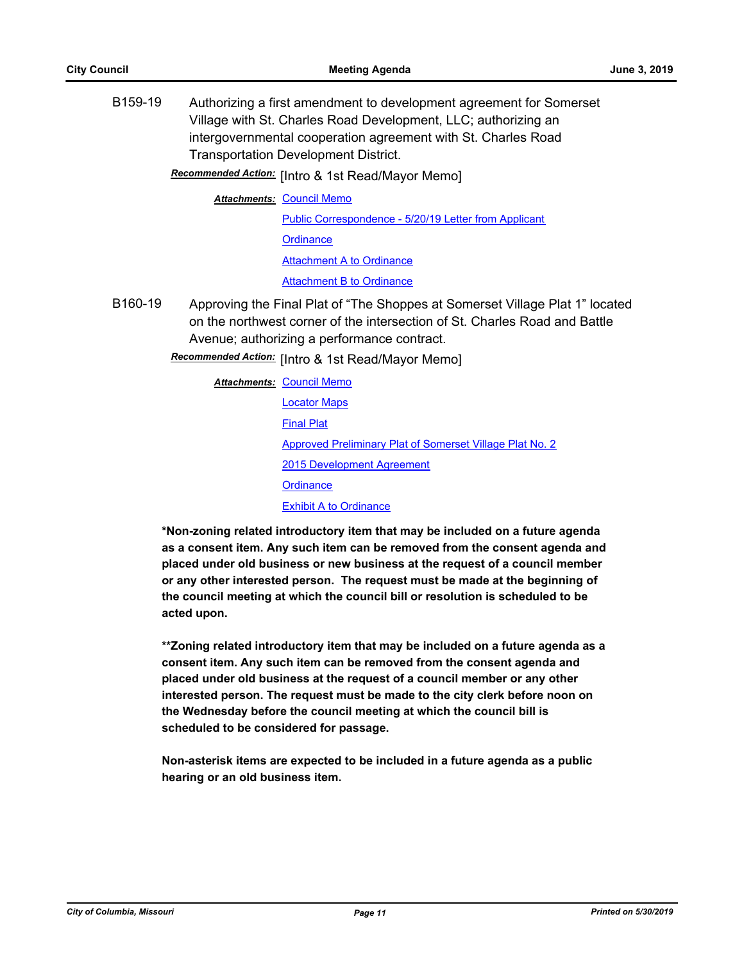B159-19 Authorizing a first amendment to development agreement for Somerset Village with St. Charles Road Development, LLC; authorizing an intergovernmental cooperation agreement with St. Charles Road Transportation Development District.

Recommended Action: [Intro & 1st Read/Mayor Memo]

**Attachments: [Council Memo](http://gocolumbiamo.legistar.com/gateway.aspx?M=F&ID=54325ec0-a346-45f7-b9b0-98a12102fe77.docx)** 

[Public Correspondence - 5/20/19 Letter from Applicant](http://gocolumbiamo.legistar.com/gateway.aspx?M=F&ID=55f9a04a-ec35-452f-8ae9-85c007752479.pdf) **[Ordinance](http://gocolumbiamo.legistar.com/gateway.aspx?M=F&ID=069989d6-dd54-439c-b3b4-130b9c13f029.doc)** [Attachment A to Ordinance](http://gocolumbiamo.legistar.com/gateway.aspx?M=F&ID=efe516e8-d5ed-446e-8e29-423cbe0c8850.pdf) [Attachment B to Ordinance](http://gocolumbiamo.legistar.com/gateway.aspx?M=F&ID=42f3c15a-d18b-456e-af58-87683c2603cf.pdf)

B160-19 Approving the Final Plat of "The Shoppes at Somerset Village Plat 1" located on the northwest corner of the intersection of St. Charles Road and Battle Avenue; authorizing a performance contract.

Recommended Action: [Intro & 1st Read/Mayor Memo]

| Attachments: Council Memo                                |  |
|----------------------------------------------------------|--|
| <b>Locator Maps</b>                                      |  |
| <b>Final Plat</b>                                        |  |
| Approved Preliminary Plat of Somerset Village Plat No. 2 |  |
| 2015 Development Agreement                               |  |
| Ordinance                                                |  |
| <b>Exhibit A to Ordinance</b>                            |  |
|                                                          |  |

**\*Non-zoning related introductory item that may be included on a future agenda as a consent item. Any such item can be removed from the consent agenda and placed under old business or new business at the request of a council member or any other interested person. The request must be made at the beginning of the council meeting at which the council bill or resolution is scheduled to be acted upon.** 

**\*\*Zoning related introductory item that may be included on a future agenda as a consent item. Any such item can be removed from the consent agenda and placed under old business at the request of a council member or any other interested person. The request must be made to the city clerk before noon on the Wednesday before the council meeting at which the council bill is scheduled to be considered for passage.**

**Non-asterisk items are expected to be included in a future agenda as a public hearing or an old business item.**